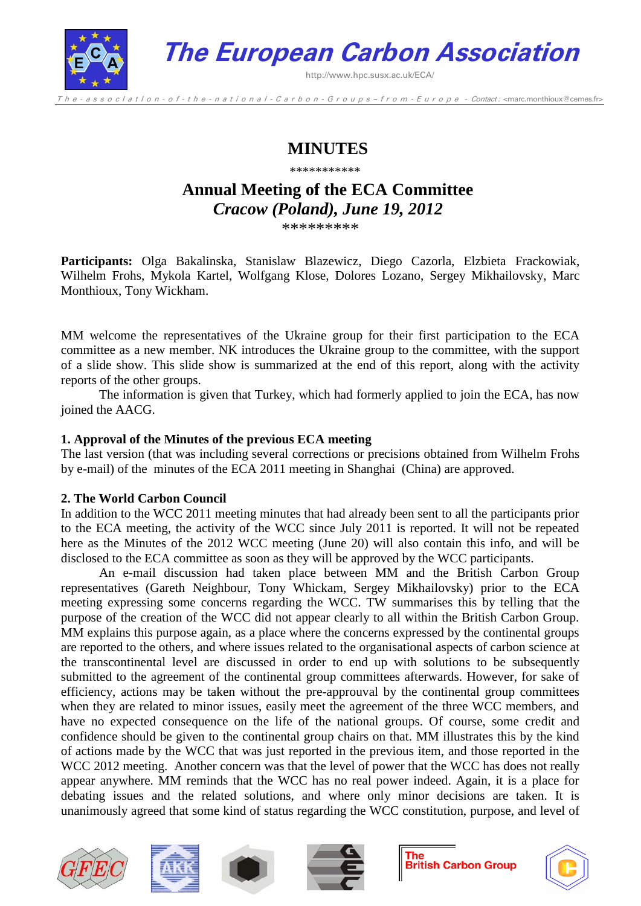

**The European Carbon Association**

http://www.hpc.susx.ac.uk/ECA/

The - a s s o c l a t l o n - o f - t h e - n a t i o n a l - C a r b o n - G r o u p s - f r o m - E u r o p e - Contact: < marc.monthioux@cemes.fr>

## **MINUTES**

\*\*\*\*\*\*\*\*\*\*\*

# **Annual Meeting of the ECA Committee** *Cracow (Poland), June 19, 2012*

\*\*\*\*\*\*\*\*\*

**Participants:** Olga Bakalinska, Stanislaw Blazewicz, Diego Cazorla, Elzbieta Frackowiak, Wilhelm Frohs, Mykola Kartel, Wolfgang Klose, Dolores Lozano, Sergey Mikhailovsky, Marc Monthioux, Tony Wickham.

MM welcome the representatives of the Ukraine group for their first participation to the ECA committee as a new member. NK introduces the Ukraine group to the committee, with the support of a slide show. This slide show is summarized at the end of this report, along with the activity reports of the other groups.

The information is given that Turkey, which had formerly applied to join the ECA, has now joined the AACG.

## **1. Approval of the Minutes of the previous ECA meeting**

The last version (that was including several corrections or precisions obtained from Wilhelm Frohs by e-mail) of the minutes of the ECA 2011 meeting in Shanghai (China) are approved.

## **2. The World Carbon Council**

In addition to the WCC 2011 meeting minutes that had already been sent to all the participants prior to the ECA meeting, the activity of the WCC since July 2011 is reported. It will not be repeated here as the Minutes of the 2012 WCC meeting (June 20) will also contain this info, and will be disclosed to the ECA committee as soon as they will be approved by the WCC participants.

An e-mail discussion had taken place between MM and the British Carbon Group representatives (Gareth Neighbour, Tony Whickam, Sergey Mikhailovsky) prior to the ECA meeting expressing some concerns regarding the WCC. TW summarises this by telling that the purpose of the creation of the WCC did not appear clearly to all within the British Carbon Group. MM explains this purpose again, as a place where the concerns expressed by the continental groups are reported to the others, and where issues related to the organisational aspects of carbon science at the transcontinental level are discussed in order to end up with solutions to be subsequently submitted to the agreement of the continental group committees afterwards. However, for sake of efficiency, actions may be taken without the pre-approuval by the continental group committees when they are related to minor issues, easily meet the agreement of the three WCC members, and have no expected consequence on the life of the national groups. Of course, some credit and confidence should be given to the continental group chairs on that. MM illustrates this by the kind of actions made by the WCC that was just reported in the previous item, and those reported in the WCC 2012 meeting. Another concern was that the level of power that the WCC has does not really appear anywhere. MM reminds that the WCC has no real power indeed. Again, it is a place for debating issues and the related solutions, and where only minor decisions are taken. It is unanimously agreed that some kind of status regarding the WCC constitution, purpose, and level of









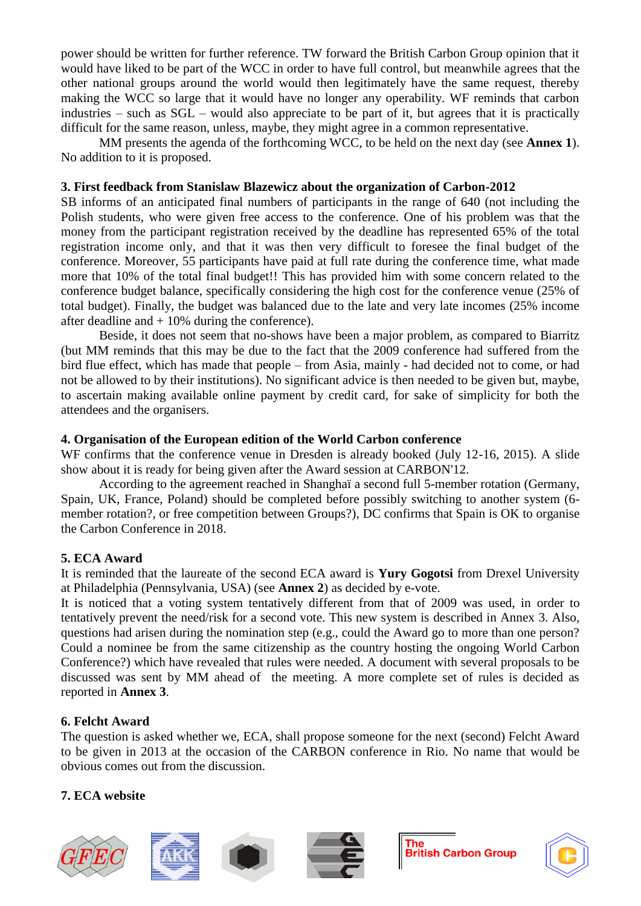power should be written for further reference. TW forward the British Carbon Group opinion that it would have liked to be part of the WCC in order to have full control, but meanwhile agrees that the other national groups around the world would then legitimately have the same request, thereby making the WCC so large that it would have no longer any operability. WF reminds that carbon industries – such as SGL – would also appreciate to be part of it, but agrees that it is practically difficult for the same reason, unless, maybe, they might agree in a common representative.

MM presents the agenda of the forthcoming WCC, to be held on the next day (see **Annex 1**). No addition to it is proposed.

#### **3. First feedback from Stanislaw Blazewicz about the organization of Carbon-2012**

SB informs of an anticipated final numbers of participants in the range of 640 (not including the Polish students, who were given free access to the conference. One of his problem was that the money from the participant registration received by the deadline has represented 65% of the total registration income only, and that it was then very difficult to foresee the final budget of the conference. Moreover, 55 participants have paid at full rate during the conference time, what made more that 10% of the total final budget!! This has provided him with some concern related to the conference budget balance, specifically considering the high cost for the conference venue (25% of total budget). Finally, the budget was balanced due to the late and very late incomes (25% income after deadline and  $+10\%$  during the conference).

Beside, it does not seem that no-shows have been a major problem, as compared to Biarritz (but MM reminds that this may be due to the fact that the 2009 conference had suffered from the bird flue effect, which has made that people – from Asia, mainly - had decided not to come, or had not be allowed to by their institutions). No significant advice is then needed to be given but, maybe, to ascertain making available online payment by credit card, for sake of simplicity for both the attendees and the organisers.

#### **4. Organisation of the European edition of the World Carbon conference**

WF confirms that the conference venue in Dresden is already booked (July 12-16, 2015). A slide show about it is ready for being given after the Award session at CARBON'12.

According to the agreement reached in Shanghaï a second full 5-member rotation (Germany, Spain, UK, France, Poland) should be completed before possibly switching to another system (6 member rotation?, or free competition between Groups?), DC confirms that Spain is OK to organise the Carbon Conference in 2018.

## **5. ECA Award**

It is reminded that the laureate of the second ECA award is **Yury Gogotsi** from Drexel University at Philadelphia (Pennsylvania, USA) (see **Annex 2**) as decided by e-vote.

It is noticed that a voting system tentatively different from that of 2009 was used, in order to tentatively prevent the need/risk for a second vote. This new system is described in Annex 3. Also, questions had arisen during the nomination step (e.g., could the Award go to more than one person? Could a nominee be from the same citizenship as the country hosting the ongoing World Carbon Conference?) which have revealed that rules were needed. A document with several proposals to be discussed was sent by MM ahead of the meeting. A more complete set of rules is decided as reported in **Annex 3**.

## **6. Felcht Award**

The question is asked whether we, ECA, shall propose someone for the next (second) Felcht Award to be given in 2013 at the occasion of the CARBON conference in Rio. No name that would be obvious comes out from the discussion.

## **7. ECA website**









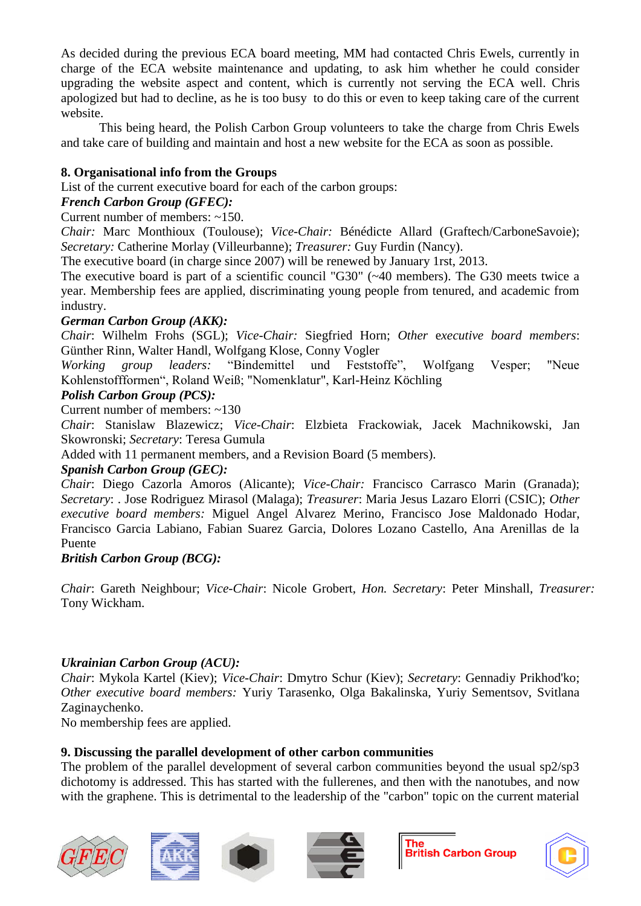As decided during the previous ECA board meeting, MM had contacted Chris Ewels, currently in charge of the ECA website maintenance and updating, to ask him whether he could consider upgrading the website aspect and content, which is currently not serving the ECA well. Chris apologized but had to decline, as he is too busy to do this or even to keep taking care of the current website.

This being heard, the Polish Carbon Group volunteers to take the charge from Chris Ewels and take care of building and maintain and host a new website for the ECA as soon as possible.

## **8. Organisational info from the Groups**

List of the current executive board for each of the carbon groups:

## *French Carbon Group (GFEC):*

Current number of members: ~150.

*Chair:* Marc Monthioux (Toulouse); *Vice-Chair:* Bénédicte Allard (Graftech/CarboneSavoie); *Secretary:* Catherine Morlay (Villeurbanne); *Treasurer:* Guy Furdin (Nancy).

The executive board (in charge since 2007) will be renewed by January 1rst, 2013.

The executive board is part of a scientific council "G30" (~40 members). The G30 meets twice a year. Membership fees are applied, discriminating young people from tenured, and academic from industry.

## *German Carbon Group (AKK):*

*Chair*: Wilhelm Frohs (SGL); *Vice-Chair:* Siegfried Horn; *Other* e*xecutive board members*: Günther Rinn, Walter Handl, Wolfgang Klose, Conny Vogler

*Working group leaders:* "Bindemittel und Feststoffe", Wolfgang Vesper; "Neue Kohlenstoffformen", Roland Weiß; "Nomenklatur", Karl-Heinz Köchling

## *Polish Carbon Group (PCS):*

Current number of members: ~130

*Chair*: Stanislaw Blazewicz; *Vice-Chair*: Elzbieta Frackowiak, Jacek Machnikowski, Jan Skowronski; *Secretary*: Teresa Gumula

Added with 11 permanent members, and a Revision Board (5 members).

## *Spanish Carbon Group (GEC):*

*Chair*: Diego Cazorla Amoros (Alicante); *Vice-Chair:* Francisco Carrasco Marin (Granada); *Secretary*: . Jose Rodriguez Mirasol (Malaga); *Treasurer*: Maria Jesus Lazaro Elorri (CSIC); *Other executive board members:* Miguel Angel Alvarez Merino, Francisco Jose Maldonado Hodar, Francisco Garcia Labiano, Fabian Suarez Garcia, Dolores Lozano Castello, Ana Arenillas de la Puente

## *British Carbon Group (BCG):*

*Chair*: Gareth Neighbour; *Vice-Chair*: Nicole Grobert, *Hon. Secretary*: Peter Minshall, *Treasurer:* Tony Wickham.

## *Ukrainian Carbon Group (ACU):*

*Chair*: Mykola Kartel (Kiev); *Vice-Chair*: Dmytro Schur (Kiev); *Secretary*: Gennadiy Prikhod'ko; *Other executive board members:* Yuriy Tarasenko, Olga Bakalinska, Yuriy Sementsov, Svitlana Zaginaychenko.

No membership fees are applied.

## **9. Discussing the parallel development of other carbon communities**

The problem of the parallel development of several carbon communities beyond the usual sp2/sp3 dichotomy is addressed. This has started with the fullerenes, and then with the nanotubes, and now with the graphene. This is detrimental to the leadership of the "carbon" topic on the current material







**The British Carbon Group** 

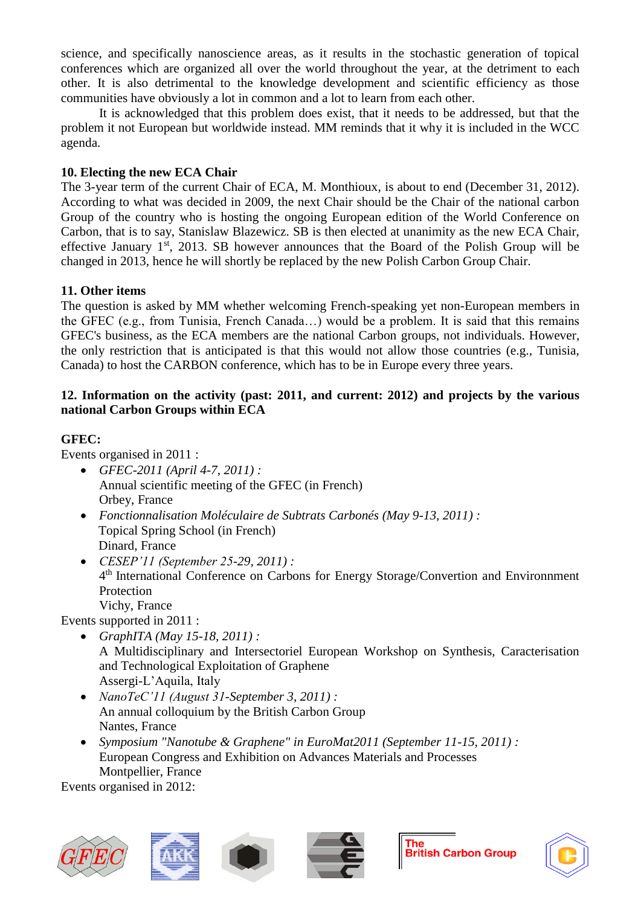science, and specifically nanoscience areas, as it results in the stochastic generation of topical conferences which are organized all over the world throughout the year, at the detriment to each other. It is also detrimental to the knowledge development and scientific efficiency as those communities have obviously a lot in common and a lot to learn from each other.

It is acknowledged that this problem does exist, that it needs to be addressed, but that the problem it not European but worldwide instead. MM reminds that it why it is included in the WCC agenda.

## **10. Electing the new ECA Chair**

The 3-year term of the current Chair of ECA, M. Monthioux, is about to end (December 31, 2012). According to what was decided in 2009, the next Chair should be the Chair of the national carbon Group of the country who is hosting the ongoing European edition of the World Conference on Carbon, that is to say, Stanislaw Blazewicz. SB is then elected at unanimity as the new ECA Chair, effective January  $1<sup>st</sup>$ , 2013. SB however announces that the Board of the Polish Group will be changed in 2013, hence he will shortly be replaced by the new Polish Carbon Group Chair.

## **11. Other items**

The question is asked by MM whether welcoming French-speaking yet non-European members in the GFEC (e.g., from Tunisia, French Canada…) would be a problem. It is said that this remains GFEC's business, as the ECA members are the national Carbon groups, not individuals. However, the only restriction that is anticipated is that this would not allow those countries (e.g., Tunisia, Canada) to host the CARBON conference, which has to be in Europe every three years.

## **12. Information on the activity (past: 2011, and current: 2012) and projects by the various national Carbon Groups within ECA**

## **GFEC:**

Events organised in 2011 :

- *GFEC-2011 (April 4-7, 2011) :* Annual scientific meeting of the GFEC (in French) Orbey, France
- *Fonctionnalisation Moléculaire de Subtrats Carbonés (May 9-13, 2011) :* Topical Spring School (in French) Dinard, France
- *CESEP'11 (September 25-29, 2011) :* 4<sup>th</sup> International Conference on Carbons for Energy Storage/Convertion and Environnment Protection Vichy, France

Events supported in 2011 :

- *GraphITA (May 15-18, 2011) :* A Multidisciplinary and Intersectoriel European Workshop on Synthesis, Caracterisation and Technological Exploitation of Graphene Assergi-L'Aquila, Italy
- *NanoTeC'11 (August 31-September 3, 2011) :* An annual colloquium by the British Carbon Group Nantes, France
- *Symposium "Nanotube & Graphene" in EuroMat2011 (September 11-15, 2011) :* European Congress and Exhibition on Advances Materials and Processes Montpellier, France

Events organised in 2012:







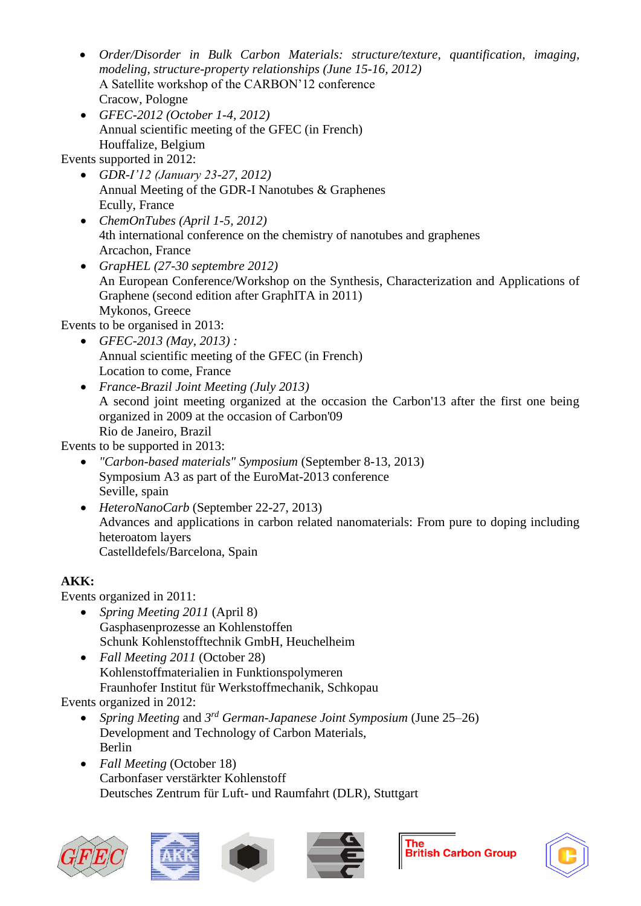- *Order/Disorder in Bulk Carbon Materials: structure/texture, quantification, imaging, modeling, structure-property relationships (June 15-16, 2012)* A Satellite workshop of the CARBON'12 conference Cracow, Pologne
- *GFEC-2012 (October 1-4, 2012)* Annual scientific meeting of the GFEC (in French) Houffalize, Belgium

Events supported in 2012:

- *GDR-I'12 (January 23-27, 2012)*  Annual Meeting of the GDR-I Nanotubes & Graphenes Ecully, France
- *ChemOnTubes (April 1-5, 2012)* 4th international conference on the chemistry of nanotubes and graphenes Arcachon, France
- *GrapHEL (27-30 septembre 2012)* An European Conference/Workshop on the Synthesis, Characterization and Applications of Graphene (second edition after GraphITA in 2011) Mykonos, Greece

Events to be organised in 2013:

- *GFEC-2013 (May, 2013) :* Annual scientific meeting of the GFEC (in French) Location to come, France
- *France-Brazil Joint Meeting (July 2013)* A second joint meeting organized at the occasion the Carbon'13 after the first one being organized in 2009 at the occasion of Carbon'09 Rio de Janeiro, Brazil

Events to be supported in 2013:

- *"Carbon-based materials" Symposium* (September 8-13, 2013) Symposium A3 as part of the EuroMat-2013 conference Seville, spain
- *HeteroNanoCarb* (September 22-27, 2013) Advances and applications in carbon related nanomaterials: From pure to doping including heteroatom layers Castelldefels/Barcelona, Spain

## **AKK:**

Events organized in 2011:

- *Spring Meeting 2011* (April 8) Gasphasenprozesse an Kohlenstoffen Schunk Kohlenstofftechnik GmbH, Heuchelheim
- *Fall Meeting 2011* (October 28) Kohlenstoffmaterialien in Funktionspolymeren Fraunhofer Institut für Werkstoffmechanik, Schkopau

Events organized in 2012:

- *Spring Meeting and 3<sup>rd</sup> German-Japanese Joint Symposium* (June 25–26) Development and Technology of Carbon Materials, Berlin
- *Fall Meeting* (October 18) Carbonfaser verstärkter Kohlenstoff Deutsches Zentrum für Luft- und Raumfahrt (DLR), Stuttgart







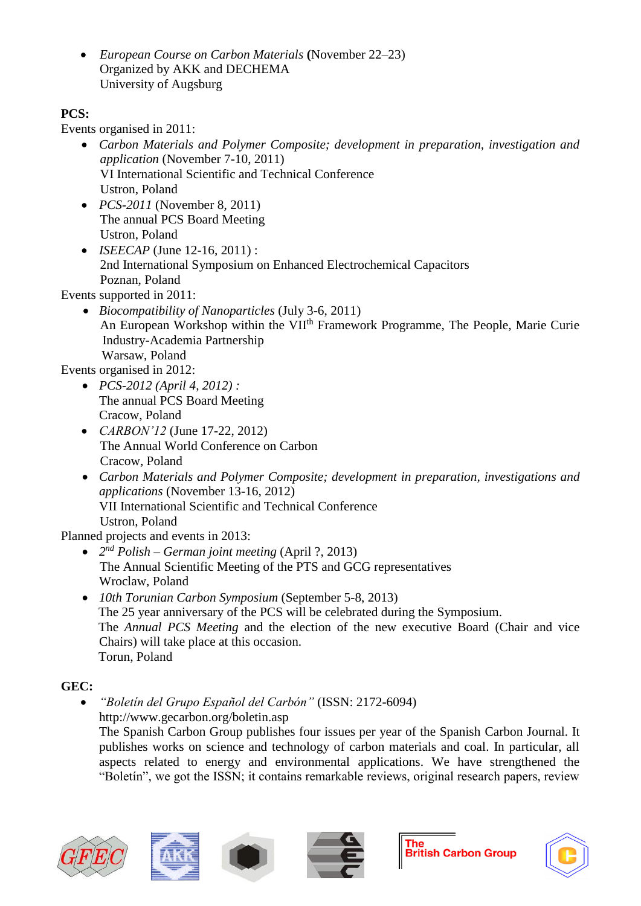• *European Course on Carbon Materials* **(**November 22–23) Organized by AKK and DECHEMA University of Augsburg

## **PCS:**

Events organised in 2011:

- *Carbon Materials and Polymer Composite; development in preparation, investigation and application* (November 7-10, 2011) VI International Scientific and Technical Conference Ustron, Poland
- *PCS-2011* (November 8, 2011) The annual PCS Board Meeting Ustron, Poland
- *ISEECAP* (June 12-16, 2011) : 2nd International Symposium on Enhanced Electrochemical Capacitors Poznan, Poland

Events supported in 2011:

• *Biocompatibility of Nanoparticles* (July 3-6, 2011) An European Workshop within the VII<sup>th</sup> Framework Programme, The People, Marie Curie Industry-Academia Partnership Warsaw, Poland

Events organised in 2012:

- *PCS-2012 (April 4, 2012) :* The annual PCS Board Meeting Cracow, Poland
- *CARBON'12* (June 17-22, 2012) The Annual World Conference on Carbon Cracow, Poland
- *Carbon Materials and Polymer Composite; development in preparation, investigations and applications* (November 13-16, 2012) VII International Scientific and Technical Conference Ustron, Poland

Planned projects and events in 2013:

- *2 nd Polish – German joint meeting* (April ?, 2013) The Annual Scientific Meeting of the PTS and GCG representatives Wroclaw, Poland
- *10th Torunian Carbon Symposium* (September 5-8, 2013) The 25 year anniversary of the PCS will be celebrated during the Symposium. The *Annual PCS Meeting* and the election of the new executive Board (Chair and vice Chairs) will take place at this occasion. Torun, Poland

## **GEC:**

• *"Boletín del Grupo Español del Carbón"* (ISSN: 2172-6094) http://www.gecarbon.org/boletin.asp The Spanish Carbon Group publishes four issues per year of the Spanish Carbon Journal. It publishes works on science and technology of carbon materials and coal. In particular, all aspects related to energy and environmental applications. We have strengthened the "Boletín", we got the ISSN; it contains remarkable reviews, original research papers, review







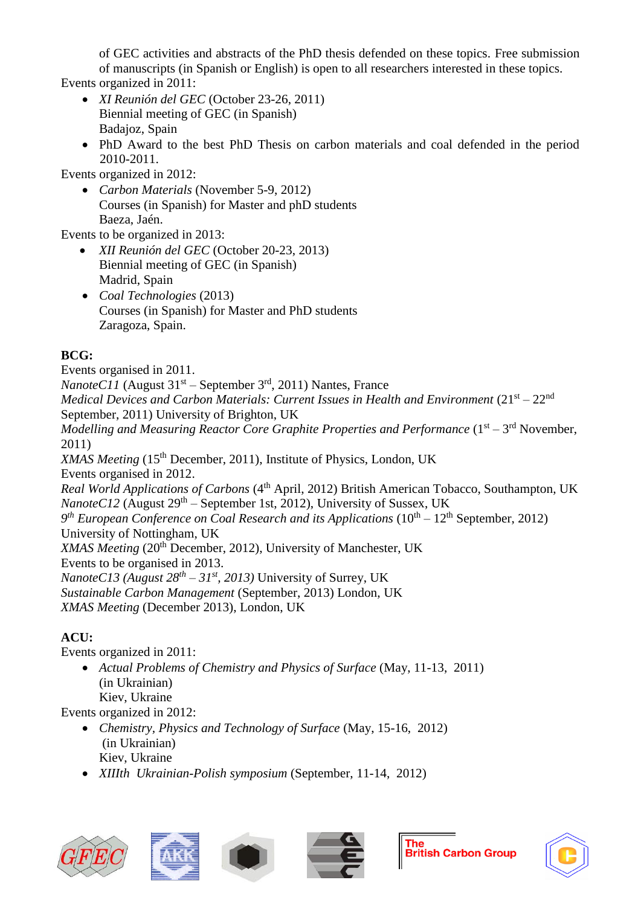of GEC activities and abstracts of the PhD thesis defended on these topics. Free submission of manuscripts (in Spanish or English) is open to all researchers interested in these topics.

Events organized in 2011:

- *XI Reunión del GEC* (October 23-26, 2011) Biennial meeting of GEC (in Spanish) Badajoz, Spain
- PhD Award to the best PhD Thesis on carbon materials and coal defended in the period 2010-2011.

Events organized in 2012:

• *Carbon Materials* (November 5-9, 2012) Courses (in Spanish) for Master and phD students Baeza, Jaén.

Events to be organized in 2013:

- *XII Reunión del GEC* (October 20-23, 2013) Biennial meeting of GEC (in Spanish) Madrid, Spain
- *Coal Technologies* (2013) Courses (in Spanish) for Master and PhD students Zaragoza, Spain.

## **BCG:**

Events organised in 2011.

*NanoteC11* (August 31<sup>st</sup> – September 3<sup>rd</sup>, 2011) Nantes, France Medical Devices and Carbon Materials: Current Issues in Health and Environment (21<sup>st</sup> – 22<sup>nd</sup> September, 2011) University of Brighton, UK

Modelling and Measuring Reactor Core Graphite Properties and Performance (1<sup>st</sup> – 3<sup>rd</sup> November, 2011)

*XMAS Meeting* (15<sup>th</sup> December, 2011), Institute of Physics, London, UK Events organised in 2012.

*Real World Applications of Carbons* (4<sup>th</sup> April, 2012) British American Tobacco, Southampton, UK NanoteC12 (August 29<sup>th</sup> – September 1st, 2012), University of Sussex, UK 9<sup>th</sup> European Conference on Coal Research and its Applications (10<sup>th</sup> – 12<sup>th</sup> September, 2012) University of Nottingham, UK *XMAS Meeting* (20th December, 2012), University of Manchester, UK Events to be organised in 2013. *NanoteC13 (August 28th – 31st, 2013)* University of Surrey, UK

*Sustainable Carbon Management* (September, 2013) London, UK

*XMAS Meeting* (December 2013), London, UK

## **ACU:**

Events organized in 2011:

• *Actual Problems of Chemistry and Physics of Surface* (May, 11-13, 2011) (in Ukrainian) Kiev, Ukraine

Events organized in 2012:

- *Chemistry, Physics and Technology of Surface* (May, 15-16, 2012) (in Ukrainian) Kiev, Ukraine
- *XIIIth Ukrainian-Polish symposium* (September, 11-14, 2012)









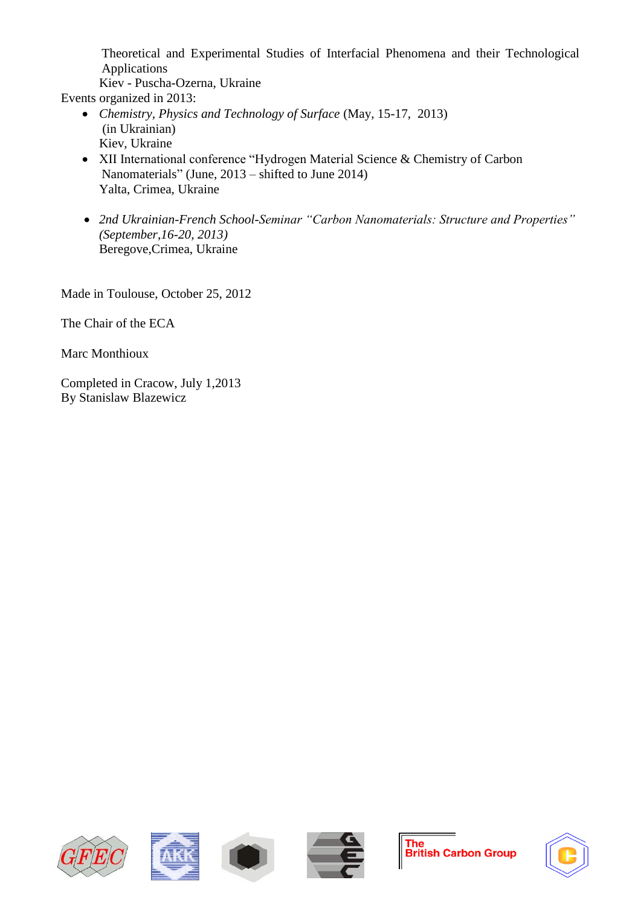Theoretical and Experimental Studies of Interfacial Phenomena and their Technological Applications

Kiev - Puscha-Ozerna, Ukraine

Events organized in 2013:

- *Chemistry, Physics and Technology of Surface* (May, 15-17, 2013) (in Ukrainian) Kiev, Ukraine
- XII International conference "Hydrogen Material Science & Chemistry of Carbon Nanomaterials" (June, 2013 – shifted to June 2014) Yalta, Crimea, Ukraine
- *2nd Ukrainian-French School-Seminar "Carbon Nanomaterials: Structure and Properties" (September,16-20, 2013)* Beregove,Crimea, Ukraine

Made in Toulouse, October 25, 2012

The Chair of the ECA

Marc Monthioux

Completed in Cracow, July 1,2013 By Stanislaw Blazewicz









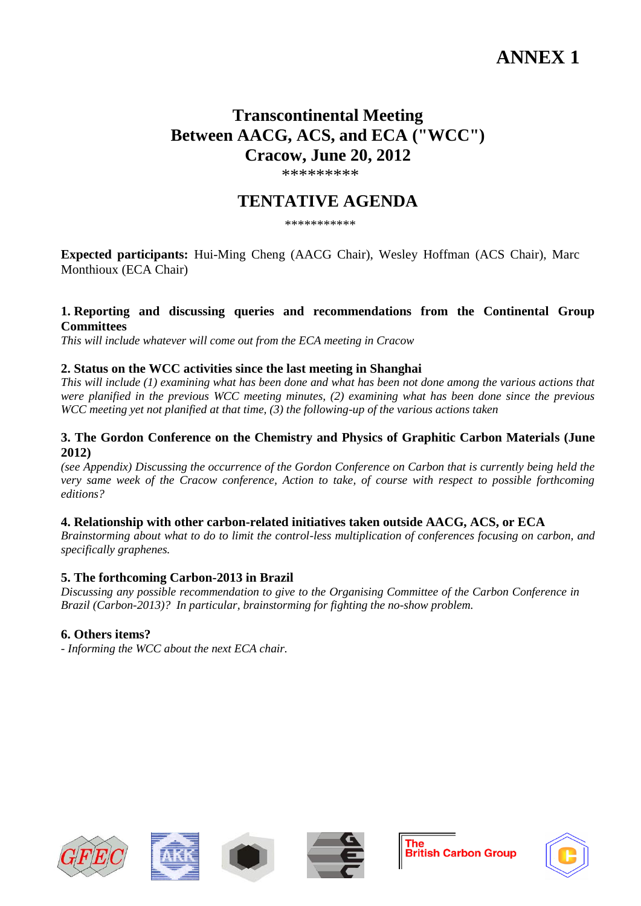# **ANNEX 1**

# **Transcontinental Meeting Between AACG, ACS, and ECA ("WCC") Cracow, June 20, 2012**

\*\*\*\*\*\*\*\*\*

## **TENTATIVE AGENDA**

\*\*\*\*\*\*\*\*\*\*\*

**Expected participants:** Hui-Ming Cheng (AACG Chair), Wesley Hoffman (ACS Chair), Marc Monthioux (ECA Chair)

#### **1. Reporting and discussing queries and recommendations from the Continental Group Committees**

*This will include whatever will come out from the ECA meeting in Cracow*

#### **2. Status on the WCC activities since the last meeting in Shanghai**

*This will include (1) examining what has been done and what has been not done among the various actions that were planified in the previous WCC meeting minutes, (2) examining what has been done since the previous WCC meeting yet not planified at that time, (3) the following-up of the various actions taken*

#### **3. The Gordon Conference on the Chemistry and Physics of Graphitic Carbon Materials (June 2012)**

*(see Appendix) Discussing the occurrence of the Gordon Conference on Carbon that is currently being held the very same week of the Cracow conference, Action to take, of course with respect to possible forthcoming editions?*

#### **4. Relationship with other carbon-related initiatives taken outside AACG, ACS, or ECA**

*Brainstorming about what to do to limit the control-less multiplication of conferences focusing on carbon, and specifically graphenes.*

#### **5. The forthcoming Carbon-2013 in Brazil**

*Discussing any possible recommendation to give to the Organising Committee of the Carbon Conference in Brazil (Carbon-2013)? In particular, brainstorming for fighting the no-show problem.*

## **6. Others items?**

*- Informing the WCC about the next ECA chair.*











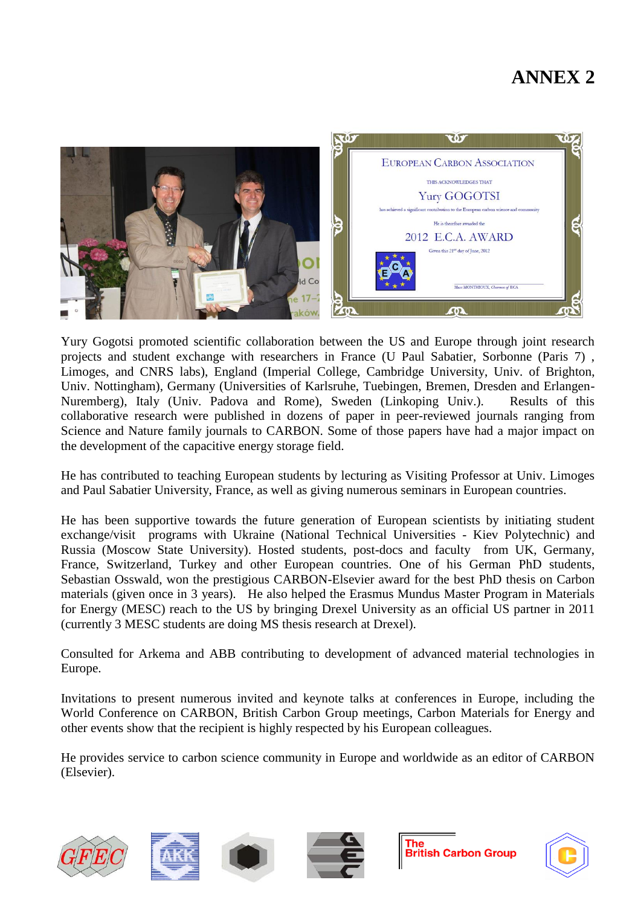# **ANNEX 2**



Yury Gogotsi promoted scientific collaboration between the US and Europe through joint research projects and student exchange with researchers in France (U Paul Sabatier, Sorbonne (Paris 7) , Limoges, and CNRS labs), England (Imperial College, Cambridge University, Univ. of Brighton, Univ. Nottingham), Germany (Universities of Karlsruhe, Tuebingen, Bremen, Dresden and Erlangen-Nuremberg), Italy (Univ. Padova and Rome), Sweden (Linkoping Univ.). Results of this collaborative research were published in dozens of paper in peer-reviewed journals ranging from Science and Nature family journals to CARBON. Some of those papers have had a major impact on the development of the capacitive energy storage field.

He has contributed to teaching European students by lecturing as Visiting Professor at Univ. Limoges and Paul Sabatier University, France, as well as giving numerous seminars in European countries.

He has been supportive towards the future generation of European scientists by initiating student exchange/visit programs with Ukraine (National Technical Universities - Kiev Polytechnic) and Russia (Moscow State University). Hosted students, post-docs and faculty from UK, Germany, France, Switzerland, Turkey and other European countries. One of his German PhD students, Sebastian Osswald, won the prestigious CARBON-Elsevier award for the best PhD thesis on Carbon materials (given once in 3 years). He also helped the Erasmus Mundus Master Program in Materials for Energy (MESC) reach to the US by bringing Drexel University as an official US partner in 2011 (currently 3 MESC students are doing MS thesis research at Drexel).

Consulted for Arkema and ABB contributing to development of advanced material technologies in Europe.

Invitations to present numerous invited and keynote talks at conferences in Europe, including the World Conference on CARBON, British Carbon Group meetings, Carbon Materials for Energy and other events show that the recipient is highly respected by his European colleagues.

He provides service to carbon science community in Europe and worldwide as an editor of CARBON (Elsevier).









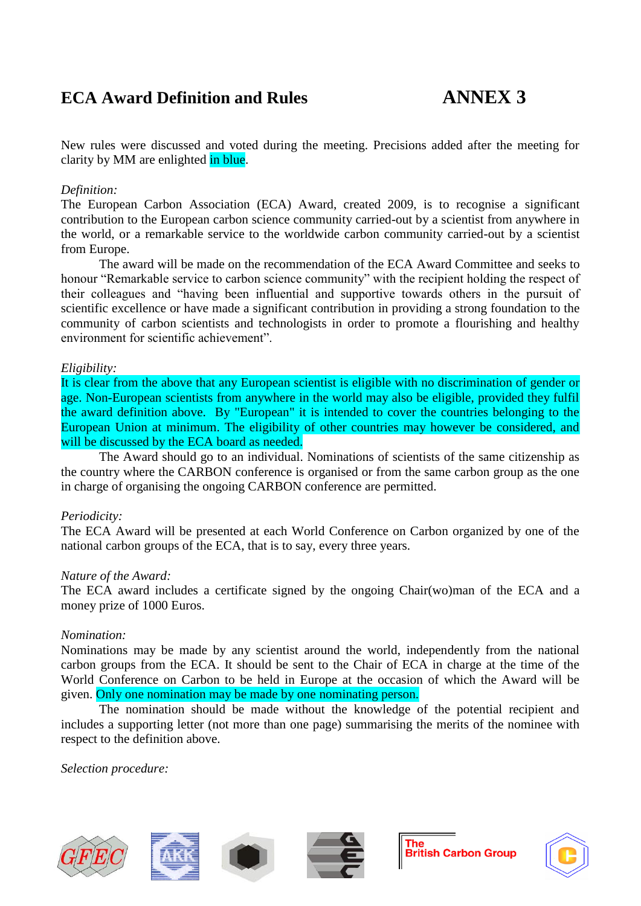# **ECA Award Definition and Rules ANNEX 3**

New rules were discussed and voted during the meeting. Precisions added after the meeting for clarity by MM are enlighted in blue.

#### *Definition:*

The European Carbon Association (ECA) Award, created 2009, is to recognise a significant contribution to the European carbon science community carried-out by a scientist from anywhere in the world, or a remarkable service to the worldwide carbon community carried-out by a scientist from Europe.

The award will be made on the recommendation of the ECA Award Committee and seeks to honour "Remarkable service to carbon science community" with the recipient holding the respect of their colleagues and "having been influential and supportive towards others in the pursuit of scientific excellence or have made a significant contribution in providing a strong foundation to the community of carbon scientists and technologists in order to promote a flourishing and healthy environment for scientific achievement".

#### *Eligibility:*

It is clear from the above that any European scientist is eligible with no discrimination of gender or age. Non-European scientists from anywhere in the world may also be eligible, provided they fulfil the award definition above. By "European" it is intended to cover the countries belonging to the European Union at minimum. The eligibility of other countries may however be considered, and will be discussed by the ECA board as needed.

The Award should go to an individual. Nominations of scientists of the same citizenship as the country where the CARBON conference is organised or from the same carbon group as the one in charge of organising the ongoing CARBON conference are permitted.

#### *Periodicity:*

The ECA Award will be presented at each World Conference on Carbon organized by one of the national carbon groups of the ECA, that is to say, every three years.

#### *Nature of the Award:*

The ECA award includes a certificate signed by the ongoing Chair(wo)man of the ECA and a money prize of 1000 Euros.

#### *Nomination:*

Nominations may be made by any scientist around the world, independently from the national carbon groups from the ECA. It should be sent to the Chair of ECA in charge at the time of the World Conference on Carbon to be held in Europe at the occasion of which the Award will be given. Only one nomination may be made by one nominating person.

The nomination should be made without the knowledge of the potential recipient and includes a supporting letter (not more than one page) summarising the merits of the nominee with respect to the definition above.

*Selection procedure:*